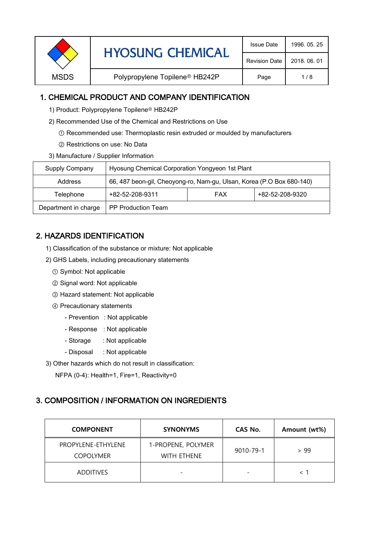| <b>HYOSUNG CHEMICAL</b> | <b>Issue Date</b>                          | 1996, 05, 25         |              |
|-------------------------|--------------------------------------------|----------------------|--------------|
|                         |                                            | <b>Revision Date</b> | 2018, 06, 01 |
| <b>MSDS</b>             | Polypropylene Topilene <sup>®</sup> HB242P | Page                 | 1/8          |
|                         |                                            |                      |              |

## 1. CHEMICAL PRODUCT AND COMPANY IDENTIFICATION

- 1) Product: Polypropylene Topilene<sup>®</sup> HB242P
- 2) Recommended Use of the Chemical and Restrictions on Use
	- ① Recommended use: Thermoplastic resin extruded or moulded by manufacturers
	- ② Restrictions on use: No Data
- 3) Manufacture / Supplier Information

| Supply Company       | Hyosung Chemical Corporation Yongyeon 1st Plant                       |            |                 |  |
|----------------------|-----------------------------------------------------------------------|------------|-----------------|--|
| <b>Address</b>       | 66, 487 beon-gil, Cheoyong-ro, Nam-gu, Ulsan, Korea (P.O Box 680-140) |            |                 |  |
| Telephone            | +82-52-208-9311                                                       | <b>FAX</b> | +82-52-208-9320 |  |
| Department in charge | PP Production Team                                                    |            |                 |  |

# 2. HAZARDS IDENTIFICATION

- 1) Classification of the substance or mixture: Not applicable
- 2) GHS Labels, including precautionary statements
	- ① Symbol: Not applicable
	- ② Signal word: Not applicable
	- ③ Hazard statement: Not applicable
	- ④ Precautionary statements
		- Prevention : Not applicable
		- Response : Not applicable
		- Storage : Not applicable
		- Disposal : Not applicable
- 3) Other hazards which do not result in classification:

NFPA (0-4): Health=1, Fire=1, Reactivity=0

### 3. COMPOSITION / INFORMATION ON INGREDIENTS

| <b>COMPONENT</b>                       | <b>SYNONYMS</b>                          | CAS No.                  | Amount (wt%) |
|----------------------------------------|------------------------------------------|--------------------------|--------------|
| PROPYLENE-ETHYLENE<br><b>COPOLYMER</b> | 1-PROPENE, POLYMER<br><b>WITH ETHENE</b> | 9010-79-1                | > 99         |
| <b>ADDITIVES</b>                       |                                          | $\overline{\phantom{0}}$ |              |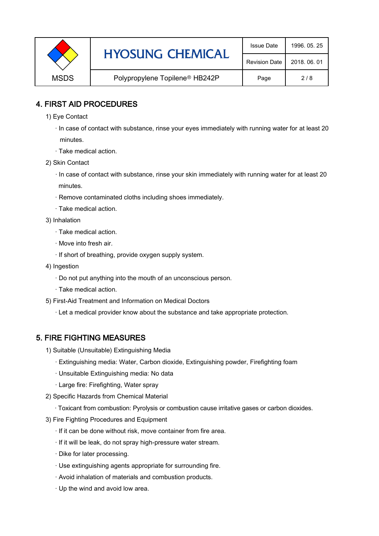|             | <b>HYOSUNG CHEMICAL</b>                    | <b>Issue Date</b>    | 1996, 05, 25 |
|-------------|--------------------------------------------|----------------------|--------------|
|             |                                            | <b>Revision Date</b> | 2018, 06, 01 |
| <b>MSDS</b> | Polypropylene Topilene <sup>®</sup> HB242P | Page                 | 2/8          |

## 4. FIRST AID PROCEDURES

- 1) Eye Contact
	- · In case of contact with substance, rinse your eyes immediately with running water for at least 20 minutes.
	- · Take medical action.
- 2) Skin Contact
	- · In case of contact with substance, rinse your skin immediately with running water for at least 20 minutes.
	- · Remove contaminated cloths including shoes immediately.
	- · Take medical action.
- 3) Inhalation
	- · Take medical action.
	- · Move into fresh air.
	- · If short of breathing, provide oxygen supply system.
- 4) Ingestion
	- · Do not put anything into the mouth of an unconscious person.
	- · Take medical action.
- 5) First-Aid Treatment and Information on Medical Doctors
	- · Let a medical provider know about the substance and take appropriate protection.

# 5. FIRE FIGHTING MEASURES

- 1) Suitable (Unsuitable) Extinguishing Media
	- · Extinguishing media: Water, Carbon dioxide, Extinguishing powder, Firefighting foam
	- · Unsuitable Extinguishing media: No data
	- · Large fire: Firefighting, Water spray
- 2) Specific Hazards from Chemical Material
	- · Toxicant from combustion: Pyrolysis or combustion cause irritative gases or carbon dioxides.
- 3) Fire Fighting Procedures and Equipment
	- · If it can be done without risk, move container from fire area.
	- · If it will be leak, do not spray high-pressure water stream.
	- · Dike for later processing.
	- · Use extinguishing agents appropriate for surrounding fire.
	- · Avoid inhalation of materials and combustion products.
	- · Up the wind and avoid low area.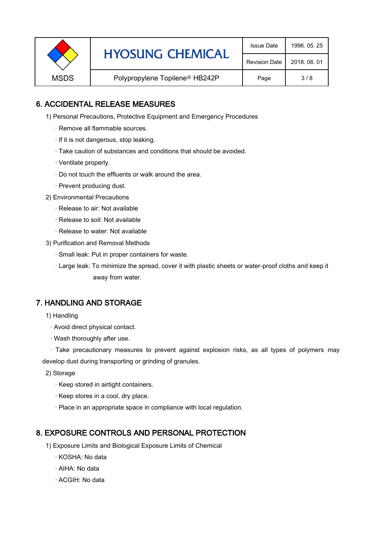|             | <b>HYOSUNG CHEMICAL</b>                    | <b>Issue Date</b>    | 1996, 05, 25 |
|-------------|--------------------------------------------|----------------------|--------------|
|             |                                            | <b>Revision Date</b> | 2018, 06, 01 |
| <b>MSDS</b> | Polypropylene Topilene <sup>®</sup> HB242P | Page                 | 3/8          |

## 6. ACCIDENTAL RELEASE MEASURES

- 1) Personal Precautions, Protective Equipment and Emergency Procedures
	- · Remove all flammable sources.
	- · If it is not dangerous, stop leaking.
	- · Take caution of substances and conditions that should be avoided.
	- · Ventilate properly.
	- · Do not touch the effluents or walk around the area.
	- · Prevent producing dust.
- 2) Environmental Precautions
	- · Release to air: Not available
	- · Release to soil: Not available
	- · Release to water: Not available
- 3) Purification and Removal Methods
	- · Small leak: Put in proper containers for waste.
	- ,· Large leak: To minimize the spread, cover it with plastic sheets or water-proof cloths and keep it away from water.

### 7. HANDLING AND STORAGE

- 1) Handling
	- · Avoid direct physical contact.
	- · Wash thoroughly after use.

· Take precautionary measures to prevent against explosion risks, as all types of polymers may develop dust during transporting or grinding of granules.

- 2) Storage
	- · Keep stored in airtight containers.
	- · Keep stores in a cool, dry place.
	- · Place in an appropriate space in compliance with local regulation.

### 8. EXPOSURE CONTROLS AND PERSONAL PROTECTION

- 1) Exposure Limits and Biological Exposure Limits of Chemical
	- · KOSHA: No data
	- · AIHA: No data
	- · ACGIH: No data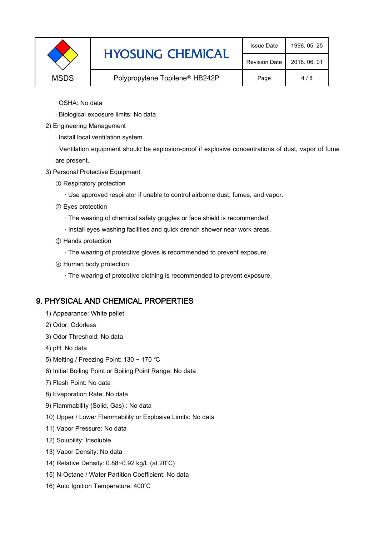|             | <b>HYOSUNG CHEMICAL</b>                    | <b>Issue Date</b>    | 1996, 05, 25 |
|-------------|--------------------------------------------|----------------------|--------------|
|             |                                            | <b>Revision Date</b> | 2018, 06, 01 |
| <b>MSDS</b> | Polypropylene Topilene <sup>®</sup> HB242P | Page                 | 4/8          |

- · OSHA: No data
- · Biological exposure limits: No data
- 2) Engineering Management
	- · Install local ventilation system.

· Ventilation equipment should be explosion-proof if explosive concentrations of dust, vapor of fume are present.

- 3) Personal Protective Equipment
	- ① Respiratory protection
		- · Use approved respirator if unable to control airborne dust, fumes, and vapor.
	- ② Eyes protection
		- · The wearing of chemical safety goggles or face shield is recommended.
		- · Install eyes washing facilities and quick drench shower near work areas.
	- ③ Hands protection
		- · The wearing of protective gloves is recommended to prevent exposure.
	- ④ Human body protection
		- · The wearing of protective clothing is recommended to prevent exposure.

#### 9. PHYSICAL AND CHEMICAL PROPERTIES

- 1) Appearance: White pellet
- 2) Odor: Odorless
- 3) Odor Threshold: No data
- 4) pH: No data
- 5) Melting / Freezing Point: 130 ~ 170 ℃
- 6) Initial Boiling Point or Boiling Point Range: No data
- 7) Flash Point: No data
- 8) Evaporation Rate: No data
- 9) Flammability (Solid, Gas) : No data
- 10) Upper / Lower Flammability or Explosive Limits: No data
- 11) Vapor Pressure: No data
- 12) Solubility: Insoluble
- 13) Vapor Density: No data
- 14) Relative Density: 0.88~0.92 kg/L (at 20℃)
- 15) N-Octane / Water Partition Coefficient: No data
- 16) Auto Ignition Temperature: 400℃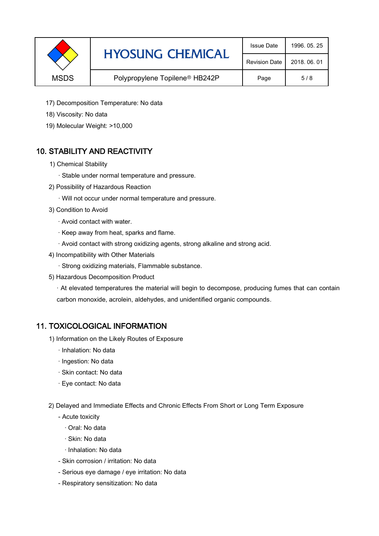|             | <b>HYOSUNG CHEMICAL</b>                    | <b>Issue Date</b>    | 1996, 05, 25 |
|-------------|--------------------------------------------|----------------------|--------------|
|             |                                            | <b>Revision Date</b> | 2018, 06, 01 |
| <b>MSDS</b> | Polypropylene Topilene <sup>®</sup> HB242P | Page                 | 5/8          |

- 17) Decomposition Temperature: No data
- 18) Viscosity: No data
- 19) Molecular Weight: >10,000

# 10. STABILITY AND REACTIVITY

- 1) Chemical Stability
	- · Stable under normal temperature and pressure.
- 2) Possibility of Hazardous Reaction
	- · Will not occur under normal temperature and pressure.
- 3) Condition to Avoid
	- · Avoid contact with water.
	- · Keep away from heat, sparks and flame.
	- · Avoid contact with strong oxidizing agents, strong alkaline and strong acid.
- 4) Incompatibility with Other Materials
	- · Strong oxidizing materials, Flammable substance.
- 5) Hazardous Decomposition Product

· At elevated temperatures the material will begin to decompose, producing fumes that can contain carbon monoxide, acrolein, aldehydes, and unidentified organic compounds.

### 11. TOXICOLOGICAL INFORMATION

- 1) Information on the Likely Routes of Exposure
	- · Inhalation: No data
	- · Ingestion: No data
	- · Skin contact: No data
	- · Eye contact: No data
- 2) Delayed and Immediate Effects and Chronic Effects From Short or Long Term Exposure
	- Acute toxicity
		- · Oral: No data
		- · Skin: No data
		- · Inhalation: No data
	- Skin corrosion / irritation: No data
	- Serious eye damage / eye irritation: No data
	- Respiratory sensitization: No data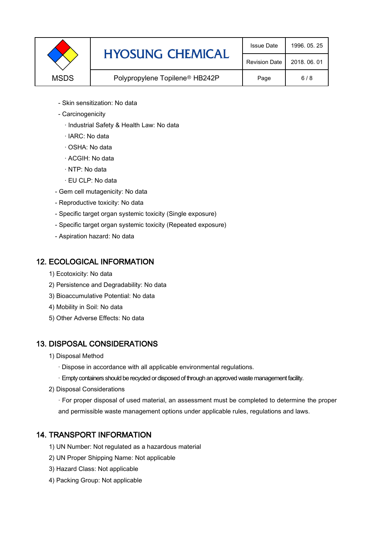

- Skin sensitization: No data
- Carcinogenicity
	- · Industrial Safety & Health Law: No data
	- · IARC: No data
	- · OSHA: No data
	- · ACGIH: No data
	- · NTP: No data
	- · EU CLP: No data
- Gem cell mutagenicity: No data
- Reproductive toxicity: No data
- Specific target organ systemic toxicity (Single exposure)
- Specific target organ systemic toxicity (Repeated exposure)
- Aspiration hazard: No data

### 12. ECOLOGICAL INFORMATION

- 1) Ecotoxicity: No data
- 2) Persistence and Degradability: No data
- 3) Bioaccumulative Potential: No data
- 4) Mobility in Soil: No data
- 5) Other Adverse Effects: No data

# 13. DISPOSAL CONSIDERATIONS

- 1) Disposal Method
	- · Dispose in accordance with all applicable environmental regulations.
	- · Empty containers should be recycled or disposed of through an approved waste management facility.
- 2) Disposal Considerations
	- · For proper disposal of used material, an assessment must be completed to determine the proper and permissible waste management options under applicable rules, regulations and laws.

# 14. TRANSPORT INFORMATION

- 1) UN Number: Not regulated as a hazardous material
- 2) UN Proper Shipping Name: Not applicable
- 3) Hazard Class: Not applicable
- 4) Packing Group: Not applicable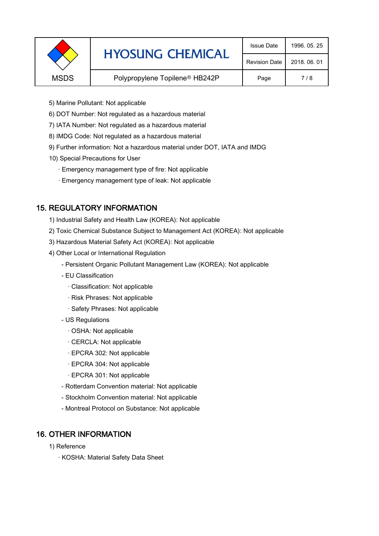|             | <b>HYOSUNG CHEMICAL</b>                    | <b>Issue Date</b>    | 1996, 05, 25 |
|-------------|--------------------------------------------|----------------------|--------------|
|             |                                            | <b>Revision Date</b> | 2018, 06, 01 |
| <b>MSDS</b> | Polypropylene Topilene <sup>®</sup> HB242P | Page                 | 7/8          |
|             |                                            |                      |              |

- 5) Marine Pollutant: Not applicable
- 6) DOT Number: Not regulated as a hazardous material
- 7) IATA Number: Not regulated as a hazardous material
- 8) IMDG Code: Not regulated as a hazardous material
- 9) Further information: Not a hazardous material under DOT, IATA and IMDG
- 10) Special Precautions for User
	- · Emergency management type of fire: Not applicable
	- · Emergency management type of leak: Not applicable

# 15. REGULATORY INFORMATION

- 1) Industrial Safety and Health Law (KOREA): Not applicable
- 2) Toxic Chemical Substance Subject to Management Act (KOREA): Not applicable
- 3) Hazardous Material Safety Act (KOREA): Not applicable
- 4) Other Local or International Regulation
	- Persistent Organic Pollutant Management Law (KOREA): Not applicable
	- EU Classification
		- · Classification: Not applicable
		- · Risk Phrases: Not applicable
		- · Safety Phrases: Not applicable
	- US Regulations
		- · OSHA: Not applicable
		- · CERCLA: Not applicable
		- · EPCRA 302: Not applicable
		- · EPCRA 304: Not applicable
		- · EPCRA 301: Not applicable
	- Rotterdam Convention material: Not applicable
	- Stockholm Convention material: Not applicable
	- Montreal Protocol on Substance: Not applicable

# 16. OTHER INFORMATION

- 1) Reference
	- · KOSHA: Material Safety Data Sheet